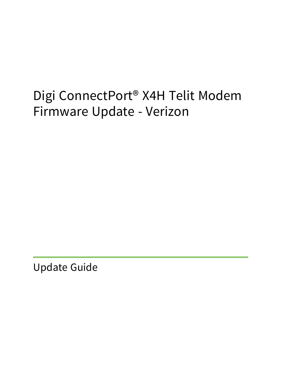# Digi ConnectPort® X4H Telit Modem Firmware Update - Verizon

Update Guide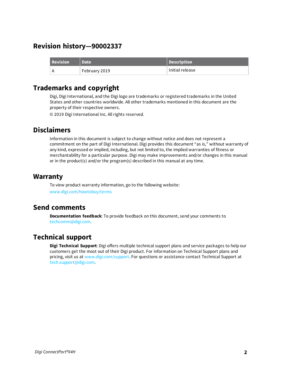## **Revision history—90002337**

| <b>Revision</b> | <b>Date</b>   | Description     |
|-----------------|---------------|-----------------|
|                 | February 2019 | Initial release |

## **Trademarks and copyright**

Digi, Digi International, and the Digi logo are trademarks or registered trademarks in the United States and other countries worldwide. All other trademarks mentioned in this document are the property of their respective owners.

© 2019 Digi International Inc. All rights reserved.

## **Disclaimers**

Information in this document is subject to change without notice and does not represent a commitment on the part of Digi International. Digi provides this document "as is," without warranty of any kind, expressed or implied, including, but not limited to, the implied warranties of fitness or merchantability for a particular purpose. Digi may make improvements and/or changes in this manual or in the product(s) and/or the program(s) described in this manual at any time.

### **Warranty**

To view product warranty information, go to the following website: [www.digi.com/howtobuy/terms](http://www.digi.com/howtobuy/terms)

## **Send comments**

**Documentation feedback**: To provide feedback on this document, send your comments to [techcomm@digi.com](mailto:techcomm@digi.com).

## **Technical support**

**Digi Technical Support**: Digi offers multiple technical support plans and service packages to help our customers get the most out of their Digi product. For information on Technical Support plans and pricing, visit us at [www.digi.com/support](http://www.digi.com/support). For questions or assistance contact Technical Support at [tech.support@digi.com.](mailto:tech.support@digi.com)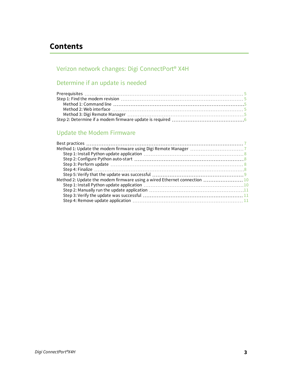## **Contents**

## Verizon network changes: Digi [ConnectPort®](#page-3-0) X4H

## [Determine](#page-4-0) if an update is needed

## Update the Modem [Firmware](#page-6-0)

| Method 2: Update the modem firmware using a wired Ethernet connection  10 |  |
|---------------------------------------------------------------------------|--|
|                                                                           |  |
|                                                                           |  |
|                                                                           |  |
|                                                                           |  |
|                                                                           |  |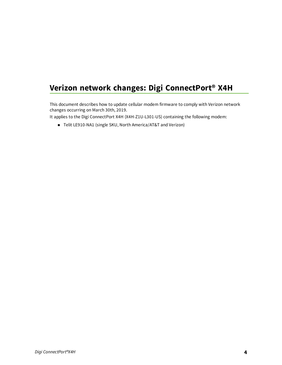## <span id="page-3-0"></span>**Verizon network changes: Digi ConnectPort® X4H**

This document describes how to update cellular modem firmware to comply with Verizon network changes occurring on March 30th, 2019.

It applies to the Digi ConnectPort X4H (X4H-Z1U-L301-US) containing the following modem:

■ Telit LE910-NA1 (single SKU, North America/AT&T and Verizon)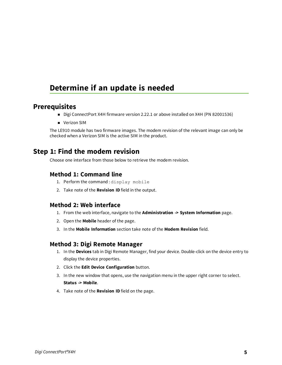## <span id="page-4-0"></span>**Determine if an update is needed**

#### <span id="page-4-1"></span>**Prerequisites**

- Digi ConnectPort X4H firmware version 2.22.1 or above installed on X4H (PN 82001536)
- **N** Verizon SIM

The LE910 module has two firmware images. The modem revision of the relevant image can only be checked when a Verizon SIM is the active SIM in the product.

## <span id="page-4-2"></span>**Step 1: Find the modem revision**

<span id="page-4-3"></span>Choose one interface from those below to retrieve the modem revision.

#### **Method 1: Command line**

- 1. Perform the command : display mobile
- <span id="page-4-4"></span>2. Take note of the **Revision ID** field in the output.

#### **Method 2: Web interface**

- 1. From the web interface, navigate to the **Administration -> System Information** page.
- 2. Open the **Mobile** header of the page.
- <span id="page-4-5"></span>3. In the **Mobile Information** section take note of the **Modem Revision** field.

#### **Method 3: Digi Remote Manager**

- 1. In the **Devices** tab in Digi Remote Manager, find your device. Double-click on the device entry to display the device properties.
- 2. Click the **Edit Device Configuration** button.
- 3. In the new window that opens, use the navigation menu in the upper right corner to select. **Status -> Mobile**.
- 4. Take note of the **Revision ID** field on the page.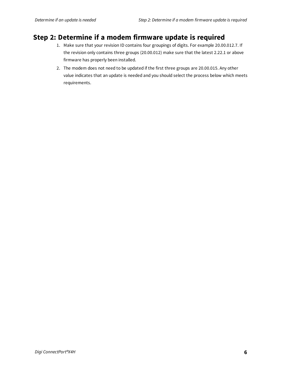## <span id="page-5-0"></span>**Step 2: Determine if a modem firmware update is required**

- 1. Make sure that your revision ID contains four groupings of digits. For example 20.00.012.7. If the revision only contains three groups (20.00.012) make sure that the latest 2.22.1 or above firmware has properly been installed.
- 2. The modem does not need to be updated if the first three groups are 20.00.015. Any other value indicates that an update is needed and you should select the process below which meets requirements.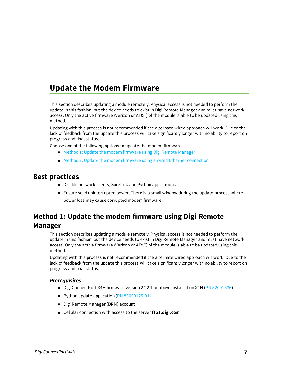## <span id="page-6-0"></span>**Update the Modem Firmware**

This section describes updating a module remotely. Physical access is not needed to perform the update in this fashion, but the device needs to exist in Digi Remote Manager and must have network access. Only the active firmware (Verizon or AT&T) of the module is able to be updated using this method.

Updating with this process is not recommended if the alternate wired approach will work. Due to the lack of feedback from the update this process will take significantly longer with no ability to report on progress and final status.

Choose one of the following options to update the modem firmware.

- <sup>n</sup> Method 1: Update the modem [firmware](#page-6-2) using Digi Remote Manager
- Method 2: Update the modem firmware using a wired Ethernet [connection](#page-9-0)

## <span id="page-6-1"></span>**Best practices**

- Disable network clients, SureLink and Python applications.
- **E** Ensure solid uninterrupted power. There is a small window during the update process where power loss may cause corrupted modem firmware.

## <span id="page-6-2"></span>**Method 1: Update the modem firmware using Digi Remote Manager**

This section describes updating a module remotely. Physical access is not needed to perform the update in this fashion, but the device needs to exist in Digi Remote Manager and must have network access. Only the active firmware (Verizon or AT&T) of the module is able to be updated using this method.

Updating with this process is not recommended if the alternate wired approach will work. Due to the lack of feedback from the update this process will take significantly longer with no ability to report on progress and final status.

#### *Prerequisites*

- Digi ConnectPort X4H firmware version 2.22.1 or above installed on X4H (PN [82001536](https://www.digi.com/support/productdetail?pid=5042&type=firmware))
- Python update application (PN [83000125-01\)](ftp://ftp1.digi.com/support/telit/83000125-01_A.zip)
- Digi Remote Manager (DRM) account
- Cellular connection with access to the server **ftp1.digi.com**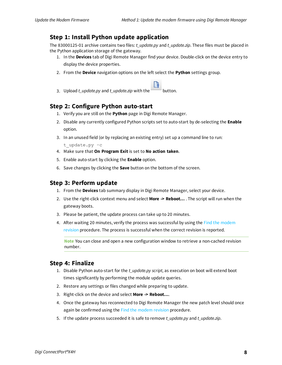#### <span id="page-7-0"></span>**Step 1: Install Python update application**

The 83000125-01 archive contains two files: *t\_update.py* and *t\_update.zip*. These files must be placed in the Python application storage of the gateway.

- 1. In the **Devices** tab of Digi Remote Manager find your device. Double-click on the device entry to display the device properties.
- 2. From the **Device** navigation options on the left select the **Python** settings group.
- 3. Upload *t\_update.py* and *t\_update.zip* with the button.

#### <span id="page-7-1"></span>**Step 2: Configure Python auto-start**

- 1. Verify you are still on the **Python** page in Digi Remote Manager.
- 2. Disable any currently configured Python scripts set to auto-start by de-selecting the **Enable** option.
- 3. In an unused field (or by replacing an existing entry) set up a command line to run: t update.py -c
- 4. Make sure that **On Program Exit** is set to **No action taken**.
- 5. Enable auto-start by clicking the **Enable** option.
- <span id="page-7-2"></span>6. Save changes by clicking the **Save** button on the bottom of the screen.

#### **Step 3: Perform update**

- 1. From the **Devices** tab summary display in Digi Remote Manager, select your device.
- 2. Use the right-click context menu and select **More -> Reboot…** . The script will run when the gateway boots.
- 3. Please be patient, the update process can take up to 20 minutes.
- 4. After waiting 20 minutes, verify the process was successful by using the Find the [modem](#page-4-2) [revision](#page-4-2) procedure. The process is successful when the correct revision is reported.

**Note** You can close and open a new configuration window to retrieve a non-cached revision number.

#### <span id="page-7-3"></span>**Step 4: Finalize**

- 1. Disable Python auto-start for the *t\_update.py script*, as execution on boot will extend boot times significantly by performing the module update queries.
- 2. Restore any settings or files changed while preparing to update.
- 3. Right-click on the device and select **More -> Reboot…**.
- 4. Once the gateway has reconnected to Digi Remote Manager the new patch level should once again be confirmed using the Find the modem [revision](#page-4-2) procedure.
- 5. If the update process succeeded it is safe to remove *t\_update.py* and *t\_update.zip*.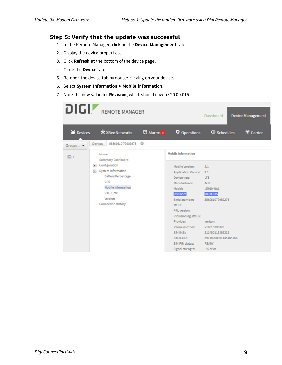#### <span id="page-8-0"></span>**Step 5: Verify that the update was successful**

- 1. In the Remote Manager, click on the **Device Management** tab.
- 2. Display the device properties.
- 3. Click **Refresh** at the bottom of the device page.
- 4. Close the **Device** tab.
- 5. Re-open the device tab by double-clicking on your device.
- 6. Select **System Information > Mobile information**.
- 7. Note the new value for **Revision**, which should now be 20.00.015.

| DIGIZ          | <b>REMOTE MANAGER</b>                                                                                                                                                            |                          |                                                                                                                                                                                                                                                                                  | Dashboard                                                                                                                                                                         | <b>Device Management</b> |
|----------------|----------------------------------------------------------------------------------------------------------------------------------------------------------------------------------|--------------------------|----------------------------------------------------------------------------------------------------------------------------------------------------------------------------------------------------------------------------------------------------------------------------------|-----------------------------------------------------------------------------------------------------------------------------------------------------------------------------------|--------------------------|
| $\geq$ Devices | * XBee Networks                                                                                                                                                                  | <b>C</b> Alarms <b>s</b> | Operations                                                                                                                                                                                                                                                                       | <b><i>O</i></b> Schedules                                                                                                                                                         | <b>♥</b> Carrier         |
| Groups -       | 03569610-79989276<br><b>Devices</b>                                                                                                                                              | $\odot$                  |                                                                                                                                                                                                                                                                                  |                                                                                                                                                                                   |                          |
| $\mathbb{D}$ / | Home<br>Summary Dashboard                                                                                                                                                        |                          | Mobile Information                                                                                                                                                                                                                                                               |                                                                                                                                                                                   |                          |
|                | Configuration<br>$\left  \cdot \right $<br>System Information<br>⊟<br><b>Battery Percentage</b><br>GPS<br>Mobile Information<br>UTC Time<br>Version<br><b>Connection History</b> |                          | Mobile Version:<br><b>Application Version:</b><br>Device type:<br>Manufacturer:<br>Model:<br><b>Revision:</b><br>Serial number:<br>MEID:<br>PRL version:<br>Provisioning status:<br>Provider:<br>Phone number:<br>SIM IMSI:<br>SIM ICCID:<br>SIM PIN status:<br>Signal strength: | 2.1<br>2.1<br><b>LTE</b><br>Telit<br>LE910-NA1<br>20.00.015<br>356961079989276<br>verizon<br>+16515290328<br>311480115389313<br>89148000001135188166<br><b>READY</b><br>$-65$ dBm |                          |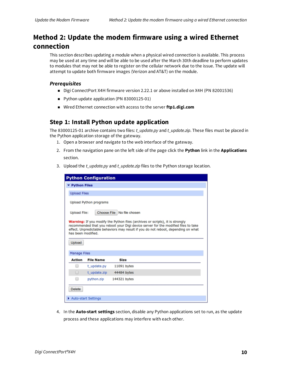## <span id="page-9-0"></span>**Method 2: Update the modem firmware using a wired Ethernet connection**

This section describes updating a module when a physical wired connection is available. This process may be used at any time and will be able to be used after the March 30th deadline to perform updates to modules that may not be able to register on the cellular network due to the issue. The update will attempt to update both firmware images (Verizon and AT&T) on the module.

#### *Prerequisites*

- Digi ConnectPort X4H firmware version 2.22.1 or above installed on X4H (PN 82001536)
- Python update application (PN 83000125-01)
- Wired Ethernet connection with access to the server **ftp1.digi.com**

#### <span id="page-9-1"></span>**Step 1: Install Python update application**

The 83000125-01 archive contains two files: *t\_update.py* and *t\_update.zip*. These files must be placed in the Python application storage of the gateway.

- 1. Open a browser and navigate to the web interface of the gateway.
- 2. From the navigation pane on the left side of the page click the **Python** link in the **Applications** section.
- 3. Upload the *t\_update.py* and *t\_update.zip* files to the Python storage location.

| <b>Python Configuration</b>                                                                                                                                                                                                                                                     |                  |              |  |  |  |
|---------------------------------------------------------------------------------------------------------------------------------------------------------------------------------------------------------------------------------------------------------------------------------|------------------|--------------|--|--|--|
| ▼ Python Files                                                                                                                                                                                                                                                                  |                  |              |  |  |  |
| <b>Upload Files</b>                                                                                                                                                                                                                                                             |                  |              |  |  |  |
| Upload Python programs                                                                                                                                                                                                                                                          |                  |              |  |  |  |
| Choose File No file chosen<br>Upload File:                                                                                                                                                                                                                                      |                  |              |  |  |  |
| Warning: If you modify the Python files (archives or scripts), it is strongly<br>recommended that you reboot your Digi device server for the modified files to take<br>effect. Unpredictable behaviors may result if you do not reboot, depending on what<br>has been modified. |                  |              |  |  |  |
| Upload                                                                                                                                                                                                                                                                          |                  |              |  |  |  |
| <b>Manage Files</b>                                                                                                                                                                                                                                                             |                  |              |  |  |  |
| <b>Action</b>                                                                                                                                                                                                                                                                   | <b>File Name</b> | Size         |  |  |  |
|                                                                                                                                                                                                                                                                                 | t_update.py      | 11091 bytes  |  |  |  |
| □                                                                                                                                                                                                                                                                               | t_update.zip     | 44484 bytes  |  |  |  |
| ▫                                                                                                                                                                                                                                                                               | python.zip       | 144321 bytes |  |  |  |
| <b>Delete</b>                                                                                                                                                                                                                                                                   |                  |              |  |  |  |
| Auto-start Settings                                                                                                                                                                                                                                                             |                  |              |  |  |  |

4. In the **Auto-start settings** section, disable any Python applications set to run, as the update process and these applications may interfere with each other.